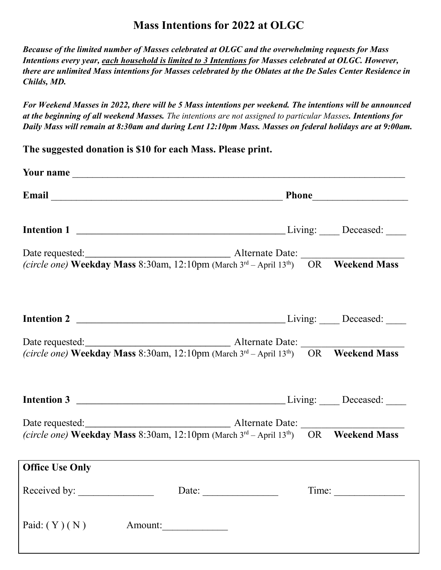## **Mass Intentions for 2022 at OLGC**

*Because of the limited number of Masses celebrated at OLGC and the overwhelming requests for Mass Intentions every year, each household is limited to 3 Intentions for Masses celebrated at OLGC. However, there are unlimited Mass intentions for Masses celebrated by the Oblates at the De Sales Center Residence in Childs, MD.* 

*For Weekend Masses in 2022, there will be 5 Mass intentions per weekend. The intentions will be announced at the beginning of all weekend Masses. The intentions are not assigned to particular Masses. Intentions for Daily Mass will remain at 8:30am and during Lent 12:10pm Mass. Masses on federal holidays are at 9:00am.*

**The suggested donation is \$10 for each Mass. Please print.**

| Email Phone Phone Phone Phone Phone Phone Phone Phone Phone Phone Phone Phone Phone Phone Phone Phone Phone Phone Phone Phone Phone Phone Phone Phone Phone Phone Phone Phone Phone Phone Phone Phone Phone Phone Phone Phone |  |  |       |  |  |
|-------------------------------------------------------------------------------------------------------------------------------------------------------------------------------------------------------------------------------|--|--|-------|--|--|
|                                                                                                                                                                                                                               |  |  |       |  |  |
|                                                                                                                                                                                                                               |  |  |       |  |  |
| Date requested:<br><i>(circle one)</i> <b>Weekday Mass</b> 8:30am, 12:10pm (March 3 <sup>rd</sup> – April 13 <sup>th</sup> ) OR <b>Weekend Mass</b>                                                                           |  |  |       |  |  |
|                                                                                                                                                                                                                               |  |  |       |  |  |
|                                                                                                                                                                                                                               |  |  |       |  |  |
| (circle one) Weekday Mass 8:30am, 12:10pm (March $3^{rd}$ – April 13 <sup>th</sup> ) OR Weekend Mass                                                                                                                          |  |  |       |  |  |
|                                                                                                                                                                                                                               |  |  |       |  |  |
| (circle one) Weekday Mass 8:30am, 12:10pm (March 3rd - April 13th) OR Weekend Mass                                                                                                                                            |  |  |       |  |  |
| <b>Office Use Only</b>                                                                                                                                                                                                        |  |  |       |  |  |
|                                                                                                                                                                                                                               |  |  |       |  |  |
| Received by: Date: Date:                                                                                                                                                                                                      |  |  | Time: |  |  |
| Paid: $(Y)$ (N)<br>Amount:                                                                                                                                                                                                    |  |  |       |  |  |